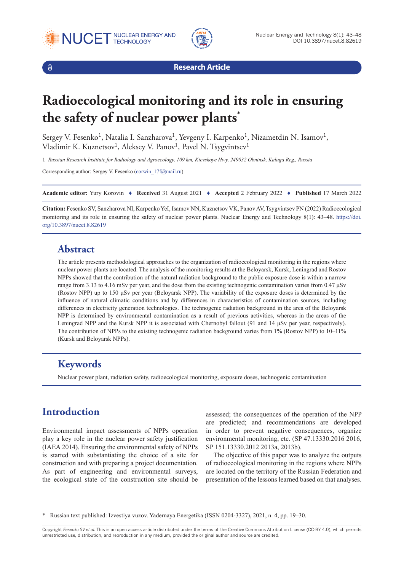





**Research Article**

# **Radioecological monitoring and its role in ensuring the safety of nuclear power plants\***

Sergey V. Fesenko<sup>1</sup>, Natalia I. Sanzharova<sup>1</sup>, Yevgeny I. Karpenko<sup>1</sup>, Nizametdin N. Isamov<sup>1</sup>, Vladimir K. Kuznetsov<sup>1</sup>, Aleksey V. Panov<sup>1</sup>, Pavel N. Tsygvintsev<sup>1</sup>

1 *Russian Research Institute for Radiology and Agroecology, 109 km, Kievskoye Hwy, 249032 Obninsk, Kaluga Reg., Russia*

Corresponding author: Sergey V. Fesenko (corwin 17f@mail.ru)

**Academic editor:** Yury Korovin ♦ **Received** 31 August 2021 ♦ **Accepted** 2 February 2022 ♦ **Published** 17 March 2022

**Citation:** Fesenko SV, Sanzharova NI, Karpenko YeI, Isamov NN, Kuznetsov VK, Panov AV, Tsygvintsev PN (2022) Radioecological monitoring and its role in ensuring the safety of nuclear power plants. Nuclear Energy and Technology 8(1): 43–48. [https://doi.](https://doi.org/10.3897/nucet.8.82619) [org/10.3897/nucet.8.82619](https://doi.org/10.3897/nucet.8.82619)

#### **Abstract**

The article presents methodological approaches to the organization of radioecological monitoring in the regions where nuclear power plants are located. The analysis of the monitoring results at the Beloyarsk, Kursk, Leningrad and Rostov NPPs showed that the contribution of the natural radiation background to the public exposure dose is within a narrow range from 3.13 to 4.16 mSv per year, and the dose from the existing technogenic contamination varies from 0.47 μSv (Rostov NPP) up to 150 μSv per year (Beloyarsk NPP). The variability of the exposure doses is determined by the influence of natural climatic conditions and by differences in characteristics of contamination sources, including differences in electricity generation technologies. The technogenic radiation background in the area of the Beloyarsk NPP is determined by environmental contamination as a result of previous activities, whereas in the areas of the Leningrad NPP and the Kursk NPP it is associated with Chernobyl fallout (91 and 14 μSv per year, respectively). The contribution of NPPs to the existing technogenic radiation background varies from 1% (Rostov NPP) to 10–11% (Kursk and Beloyarsk NPPs).

## **Keywords**

Nuclear power plant, radiation safety, radioecological monitoring, exposure doses, technogenic contamination

# **Introduction**

Environmental impact assessments of NPPs operation play a key role in the nuclear power safety justification (IAEA 2014). Ensuring the environmental safety of NPPs is started with substantiating the choice of a site for construction and with preparing a project documentation. As part of engineering and environmental surveys, the ecological state of the construction site should be

assessed; the consequences of the operation of the NPP are predicted; and recommendations are developed in order to prevent negative consequences, organize environmental monitoring, etc. (SP 47.13330.2016 2016, SP 151.13330.2012 2013a, 2013b).

The objective of this paper was to analyze the outputs of radioecological monitoring in the regions where NPPs are located on the territory of the Russian Federation and presentation of the lessons learned based on that analyses.

\* Russian text published: Izvestiya vuzov. Yadernaya Energetika (ISSN 0204-3327), 2021, n. 4, pp. 19–30.

Copyright *Fesenko SV et al.* This is an open access article distributed under the terms of the Creative Commons Attribution License (CC-BY 4.0), which permits unrestricted use, distribution, and reproduction in any medium, provided the original author and source are credited.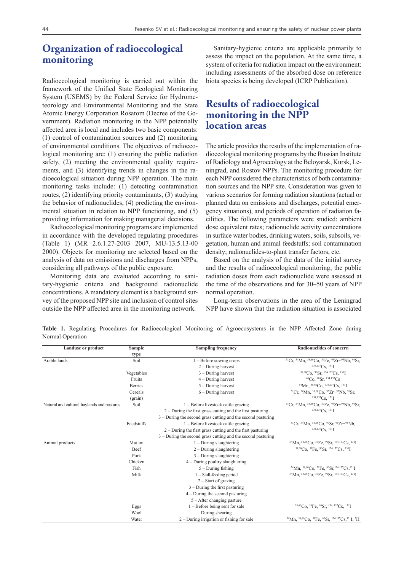## **Organization of radioecological monitoring**

Radioecological monitoring is carried out within the framework of the Unified State Ecological Monitoring System (USEMS) by the Federal Service for Hydrometeorology and Environmental Monitoring and the State Atomic Energy Corporation Rosatom (Decree of the Government). Radiation monitoring in the NPP potentially affected area is local and includes two basic components: (1) control of contamination sources and (2) monitoring of environmental conditions. The objectives of radioecological monitoring are: (1) ensuring the public radiation safety, (2) meeting the environmental quality requirements, and (3) identifying trends in changes in the radioecological situation during NPP operation. The main monitoring tasks include: (1) detecting contamination routes, (2) identifying priority contaminants, (3) studying the behavior of radionuclides, (4) predicting the environmental situation in relation to NPP functioning, and (5) providing information for making managerial decisions.

Radioecological monitoring programs are implemented in accordance with the developed regulating procedures (Table 1) (MR 2.6.1.27-2003 2007, MU-13.5.13-00 2000). Objects for monitoring are selected based on the analysis of data on emissions and discharges from NPPs, considering all pathways of the public exposure.

Monitoring data are evaluated according to sanitary-hygienic criteria and background radionuclide concentrations. A mandatory element is a background survey of the proposed NPP site and inclusion of control sites outside the NPP affected area in the monitoring network.

Sanitary-hygienic criteria are applicable primarily to assess the impact on the population. At the same time, a system of criteria for radiation impact on the environment: including assessments of the absorbed dose on reference biota species is being developed (ICRP Publication).

#### **Results of radioecological monitoring in the NPP location areas**

The article provides the results of the implementation of radioecological monitoring programs by the Russian Institute of Radiology and Agroecology at the Beloyarsk, Kursk, Leningrad, and Rostov NPPs. The monitoring procedure for each NPP considered the characteristics of both contamination sources and the NPP site. Consideration was given to various scenarios for forming radiation situations (actual or planned data on emissions and discharges, potential emergency situations), and periods of operation of radiation facilities. The following parameters were studied: ambient dose equivalent rates; radionuclide activity concentrations in surface water bodies, drinking waters, soils, subsoils, vegetation, human and animal feedstuffs; soil contamination density; radionuclides-to-plant transfer factors, etc.

Based on the analysis of the data of the initial survey and the results of radioecological monitoring, the public radiation doses from each radionuclide were assessed at the time of the observations and for 30–50 years of NPP normal operation.

Long-term observations in the area of the Leningrad NPP have shown that the radiation situation is associated

**Table 1.** Regulating Procedures for Radioecological Monitoring of Agroecosystems in the NPP Affected Zone during Normal Operation

| <b>Landuse or product</b>                  | <b>Sample</b> | <b>Sampling frequency</b>                                      | <b>Radionuclides of concern</b>                                                                                                  |
|--------------------------------------------|---------------|----------------------------------------------------------------|----------------------------------------------------------------------------------------------------------------------------------|
|                                            | type          |                                                                |                                                                                                                                  |
| Arable lands                               | Soil          | $1 -$ Before sowing crops                                      | <sup>51</sup> Cr, <sup>54</sup> Mn, <sup>58,60</sup> Co, <sup>59</sup> Fe, <sup>95</sup> Zr <sup>+95</sup> Nb, <sup>90</sup> Sr, |
|                                            |               | $2 - During$ harvest                                           | $134,137$ Cs, $131$ <sup>I</sup>                                                                                                 |
|                                            | Vegetables    | $3 - During$ harvest                                           | 58,60Co, 90Sr, 134,137Cs, 131I                                                                                                   |
|                                            | Fruits        | $4 - During$ harvest                                           | 60Co, 90Sr, 134,137Cs                                                                                                            |
|                                            | Berries       | $5 - During$ harvest                                           | 54Mn, 58,60Co, 134,137Cs, 131J                                                                                                   |
|                                            | Cereals       | $6 - During$ harvest                                           | <sup>51</sup> Cr. <sup>54</sup> Mn. <sup>58,60</sup> Co. <sup>95</sup> Zr <sup>+95</sup> Nb. <sup>90</sup> Sr.                   |
|                                            | (grain)       |                                                                | $134,137C_S$ , $131$ <sup>T</sup>                                                                                                |
| Natural and cultural haylands and pastures | Soil          | $1 -$ Before livestock cattle grazing                          | <sup>51</sup> Cr, <sup>54</sup> Mn, <sup>58,60</sup> Co, <sup>59</sup> Fe, <sup>95</sup> Zr+ <sup>95</sup> Nb, <sup>90</sup> Sr, |
|                                            |               | $2$ – During the first grass cutting and the first pasturing   | $134,137C_S$ , $131$ <sup>T</sup>                                                                                                |
|                                            |               | $3$ – During the second grass cutting and the second pasturing |                                                                                                                                  |
|                                            | Feedstuffs    | $1 -$ Before livestock cattle grazing                          | <sup>51</sup> Cr, <sup>54</sup> Mn, <sup>58,60</sup> Co, <sup>90</sup> Sr, <sup>95</sup> Zr+ <sup>95</sup> Nb,                   |
|                                            |               | $2$ – During the first grass cutting and the first pasturing   | $134,137$ Cs, $131$ <sup>T</sup>                                                                                                 |
|                                            |               | $3$ – During the second grass cutting and the second pasturing |                                                                                                                                  |
| Animal products                            | Mutton        | $1 - During slaughtering$                                      | 54Mn, 58,60Co, 59Fe, 90Sr, 134,137Cs, 131J                                                                                       |
|                                            | Beef          | $2 - During slaughtering$                                      | 58,60Co, 59Fe, 90Sr, 134,137Cs, 131J                                                                                             |
|                                            | Pork          | $3 - During slaughtering$                                      |                                                                                                                                  |
|                                            | Chicken       | $4 - During$ poultry slaughtering                              |                                                                                                                                  |
|                                            | Fish          | $5 - During fishing$                                           | 54Mn, 58,60Co, 59Fe, 90Sr, 134, 137Cs, 131J                                                                                      |
|                                            | Milk          | $1 -$ Stall-feeding period                                     | 54Mn, 58,60Co, 59Fe, 90Sr, 134,137Cs, 131J                                                                                       |
|                                            |               | $2 - Start$ of grazing                                         |                                                                                                                                  |
|                                            |               | $3 - During the first pasturing$                               |                                                                                                                                  |
|                                            |               | $4 - During the second pasturing$                              |                                                                                                                                  |
|                                            |               | $5 -$ After changing pasture                                   |                                                                                                                                  |
|                                            | Eggs          | $1 - \mbox{Before being sent for sale}$                        | 58,60Co, 59Fe, 90Sr, 134, 137Cs, 131J                                                                                            |
|                                            | Wool          | During shearing                                                |                                                                                                                                  |
|                                            | Water         | $2$ – During irrigation or fishing for sale                    | 54Mn, 58,60Co, 59Fe, 90Sr, 134,137Cs, 131J, 3H                                                                                   |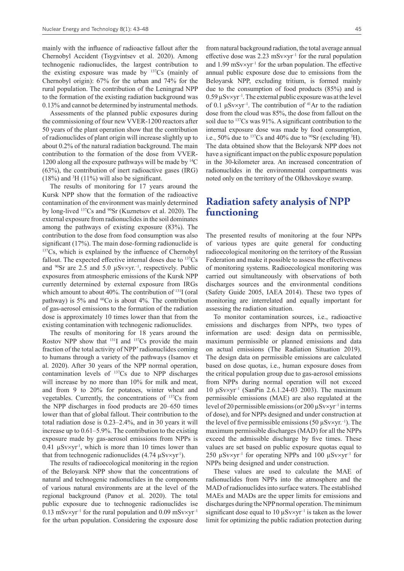mainly with the influence of radioactive fallout after the Chernobyl Accident (Tsygvintsev et al. 2020). Among technogenic radionuclides, the largest contribution to the existing exposure was made by 137Cs (mainly of Chernobyl origin): 67% for the urban and 74% for the rural population. The contribution of the Leningrad NPP to the formation of the existing radiation background was 0.13% and cannot be determined by instrumental methods.

Assessments of the planned public exposures during the commissioning of four new VVER-1200 reactors after 50 years of the plant operation show that the contribution of radionuclides of plant origin will increase slightly up to about 0.2% of the natural radiation background. The main contribution to the formation of the dose from VVER-1200 along all the exposure pathways will be made by  ${}^{14}C$ (63%), the contribution of inert radioactive gases (IRG)  $(18%)$  and <sup>3</sup>H  $(11%)$  will also be significant.

The results of monitoring for 17 years around the Kursk NPP show that the formation of the radioactive contamination of the environment was mainly determined by long-lived 137Cs and 90Sr (Kuznetsov et al. 2020). The external exposure from radionuclides in the soil dominates among the pathways of existing exposure (83%). The contribution to the dose from food consumption was also significant (17%). The main dose-forming radionuclide is <sup>137</sup>Cs, which is explained by the influence of Chernobyl fallout. The expected effective internal doses due to  $137Cs$ and  $90\$ Sr are 2.5 and 5.0  $\mu$ Sv×yr.<sup>-1</sup>, respectively. Public exposures from atmospheric emissions of the Kursk NPP currently determined by external exposure from IRGs which amount to about 40%. The contribution of <sup>131</sup>I (oral pathway) is  $5\%$  and  ${}^{60}Co$  is about 4%. The contribution of gas-aerosol emissions to the formation of the radiation dose is approximately 10 times lower than that from the existing contamination with technogenic radionuclides.

The results of monitoring for 18 years around the Rostov NPP show that  $^{131}I$  and  $^{137}Cs$  provide the main fraction of the total activity of NPP' radionuclides coming to humans through a variety of the pathways (Isamov et al. 2020). After 30 years of the NPP normal operation, contamination levels of 137Cs due to NPP discharges will increase by no more than 10% for milk and meat, and from 9 to 20% for potatoes, winter wheat and vegetables. Currently, the concentrations of 137Cs from the NPP discharges in food products are 20–650 times lower than that of global fallout. Their contribution to the total radiation dose is 0.23–2.4%, and in 30 years it will increase up to 0.61–5.9%. The contribution to the existing exposure made by gas-aerosol emissions from NPPs is 0.41  $\mu$ Sv×yr<sup>-1</sup>, which is more than 10 times lower than that from technogenic radionuclides  $(4.74 \mu Sv \times yr^{-1})$ .

The results of radioecological monitoring in the region of the Beloyarsk NPP show that the concentrations of natural and technogenic radionuclides in the components of various natural environments are at the level of the regional background (Panov et al. 2020). The total public exposure due to technogenic radionuclides ise 0.13 mSv×yr<sup>-1</sup> for the rural population and 0.09 mSv×yr<sup>-1</sup> for the urban population. Considering the exposure dose

from natural background radiation, the total average annual effective dose was 2.23 mSv $\times$ yr<sup>-1</sup> for the rural population and  $1.99 \text{ mSv} \times \text{yr}^{-1}$  for the urban population. The effective annual public exposure dose due to emissions from the Beloyarsk NPP, excluding tritium, is formed mainly due to the consumption of food products (85%) and is  $0.59 \mu$ Sv×yr<sup>-1</sup>. The external public exposure was at the level of 0.1  $\mu$ Sv×yr<sup>-1</sup>. The contribution of <sup>41</sup>Ar to the radiation dose from the cloud was 85%, the dose from fallout on the soil due to <sup>137</sup>Cs was 91%. A significant contribution to the internal exposure dose was made by food consumption, i.e., 50% due to <sup>137</sup>Cs and 40% due to <sup>90</sup>Sr (excluding <sup>3</sup>H). The data obtained show that the Beloyarsk NPP does not have a significant impact on the public exposure population in the 30-kilometer area. An increased concentration of radionuclides in the environmental compartments was noted only on the territory of the Olkhovskoye swamp.

#### **Radiation safety analysis of NPP functioning**

The presented results of monitoring at the four NPPs of various types are quite general for conducting radioecological monitoring on the territory of the Russian Federation and make it possible to assess the effectiveness of monitoring systems. Radioecological monitoring was carried out simultaneously with observations of both discharges sources and the environmental conditions (Safety Guide 2005, IAEA 2014). These two types of monitoring are interrelated and equally important for assessing the radiation situation.

To monitor contamination sources, i.e., radioactive emissions and discharges from NPPs, two types of information are used: design data on permissible, maximum permissible or planned emissions and data on actual emissions (The Radiation Situation 2019). The design data on permissible emissions are calculated based on dose quotas, i.e., human exposure doses from the critical population group due to gas-aerosol emissions from NPPs during normal operation will not exceed 10 μSv×yr–1 (SanPin 2.6.1.24-03 2003). The maximum permissible emissions (MAE) are also regulated at the level of 20 permissible emissions (or  $200 \mu$ Sv×yr<sup>-1</sup> in terms of dose), and for NPPs designed and under construction at the level of five permissible emissions (50  $\mu$ Sv×yr.<sup>-1</sup>). The maximum permissible discharges (MAD) for all the NPPs exceed the admissible discharge by five times. These values are set based on public exposure quotas equal to 250  $\mu$ Sv×yr<sup>-1</sup> for operating NPPs and 100  $\mu$ Sv×yr<sup>-1</sup> for NPPs being designed and under construction.

These values are used to calculate the MAE of radionuclides from NPPs into the atmosphere and the MAD of radionuclides into surface waters. The established MAEs and MADs are the upper limits for emissions and discharges during the NPP normal operation. The minimum significant dose equal to 10  $\mu$ Sv×yr<sup>-1</sup> is taken as the lower limit for optimizing the public radiation protection during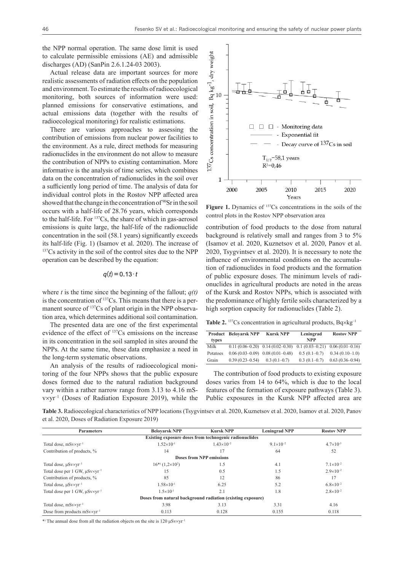the NPP normal operation. The same dose limit is used to calculate permissible emissions (AE) and admissible discharges (AD) (SanPin 2.6.1.24-03 2003).

Actual release data are important sources for more realistic assessments of radiation effects on the population and environment. To estimate the results of radioecological monitoring, both sources of information were used: planned emissions for conservative estimations, and actual emissions data (together with the results of radioecological monitoring) for realistic estimations.

There are various approaches to assessing the contribution of emissions from nuclear power facilities to the environment. As a rule, direct methods for measuring radionuclides in the environment do not allow to measure the contribution of NPPs to existing contamination. More informative is the analysis of time series, which combines data on the concentration of radionuclides in the soil over a sufficiently long period of time. The analysis of data for individual control plots in the Rostov NPP affected area showed that the change in the concentration of <sup>90</sup>Sr in the soil occurs with a half-life of 28.76 years, which corresponds to the half-life. For 137Cs, the share of which in gas-aerosol emissions is quite large, the half-life of the radionuclide concentration in the soil (58.1 years) significantly exceeds its half-life (Fig. 1) (Isamov et al. 2020). The increase of <sup>137</sup>Cs activity in the soil of the control sites due to the NPP operation can be described by the equation:

 $q(t) = 0.13 \cdot t$ 

where *t* is the time since the beginning of the fallout;  $q(t)$ is the concentration of 137Сs. This means that there is a permanent source of <sup>137</sup>Cs of plant origin in the NPP observation area, which determines additional soil contamination.

The presented data are one of the first experimental evidence of the effect of 137Cs emissions on the increase in its concentration in the soil sampled in sites around the NPPs. At the same time, these data emphasize a need in the long-term systematic observations.

An analysis of the results of radioecological monitoring of the four NPPs shows that the public exposure doses formed due to the natural radiation background vary within a rather narrow range from 3.13 to 4.16 mSv×yr–1 (Doses of Radiation Exposure 2019), while the



**Figure 1.** Dynamics of 137Cs concentrations in the soils of the control plots in the Rostov NPP observation area

contribution of food products to the dose from natural background is relatively small and ranges from 3 to 5% (Isamov et al. 2020, Kuznetsov et al. 2020, Panov et al. 2020, Tsygvintsev et al. 2020). It is necessary to note the influence of environmental conditions on the accumulation of radionuclides in food products and the formation of public exposure doses. The minimum levels of radionuclides in agricultural products are noted in the areas of the Kursk and Rostov NPPs, which is associated with the predominance of highly fertile soils characterized by a high sorption capacity for radionuclides (Table 2).

**Table 2.** <sup>137</sup>Cs concentration in agricultural products,  $Bq \times kg^{-1}$ 

| Product  | <b>Belovarsk NPP</b> | <b>Kursk NPP</b>                    | Leningrad        | <b>Rostov NPP</b> |
|----------|----------------------|-------------------------------------|------------------|-------------------|
| types    |                      |                                     | <b>NPP</b>       |                   |
| Milk     |                      | $0.11(0.06-0.20)$ $0.14(0.02-0.30)$ | $0.1(0.03-0.21)$ | $0.06(0.01-0.16)$ |
| Potatoes | $0.06(0.03-0.09)$    | $0.08(0.01 - 0.48)$                 | $0.5(0.1-0.7)$   | $0.34(0.10-1.0)$  |
| Grain    | $0.39(0.23 - 0.54)$  | $0.3(0.1-0.7)$                      | $0.3(0.1-0.7)$   | $0.63(0.36-0.94)$ |

The contribution of food products to existing exposure doses varies from 14 to 64%, which is due to the local features of the formation of exposure pathways (Table 3). Public exposures in the Kursk NPP affected area are

**Table 3.** Radioecological characteristics of NPP locations (Tsygvintsev et al. 2020, Kuznetsov et al. 2020, Isamov et al. 2020, Panov et al. 2020, Doses of Radiation Exposure 2019)

| <b>Parameters</b>                              | <b>Belovarsk NPP</b>                                        | <b>Kursk NPP</b>                                       | <b>Leningrad NPP</b> | <b>Rostov NPP</b>    |
|------------------------------------------------|-------------------------------------------------------------|--------------------------------------------------------|----------------------|----------------------|
|                                                |                                                             | Existing exposure doses from technogenic radionuclides |                      |                      |
| Total dose, $mSv\times v^{-1}$                 | $1.52\times10^{-1}$                                         | $1.43\times10^{-2}$                                    | $9.1 \times 10^{-2}$ | $4.7 \times 10^{-3}$ |
| Contribution of products, %                    | 14                                                          | 17                                                     | 64                   | 52                   |
|                                                |                                                             | <b>Doses from NPP emissions</b>                        |                      |                      |
| Total dose, $\mu$ Sv $\times$ v $r^{-1}$       | $16^{(*)}$ (1,2×10 <sup>2</sup> )                           | 1.5                                                    | 4.1                  | $7.1 \times 10^{-2}$ |
| Total dose per 1 GW, $\mu$ Sv×yr <sup>-1</sup> | 15                                                          | 0.5                                                    | 1.5                  | $2.9\times10^{-2}$   |
| Contribution of products, %                    | 85                                                          | 12                                                     | 86                   | 17                   |
| Total dose, $\mu$ Sv $\times$ v $r^{-1}$       | $1.58\times10^{-1}$                                         | 6.25                                                   | 5.2                  | $6.8 \times 10^{-2}$ |
| Total dose per 1 GW, $\mu$ Sv×yr <sup>-1</sup> | $1.5 \times 10^{-1}$                                        | 2.1                                                    | 1.8                  | $2.8 \times 10^{-2}$ |
|                                                | Doses from natural background radiation (existing exposure) |                                                        |                      |                      |
| Total dose, $mSv\times v^{-1}$                 | 3.98                                                        | 3.13                                                   | 3.31                 | 4.16                 |
| Dose from products $mSv\times v^{-1}$          | 0.113                                                       | 0.128                                                  | 0.155                | 0.118                |

\*) The annual dose from all the radiation objects on the site is  $120 \mu Sv \times yr^{-1}$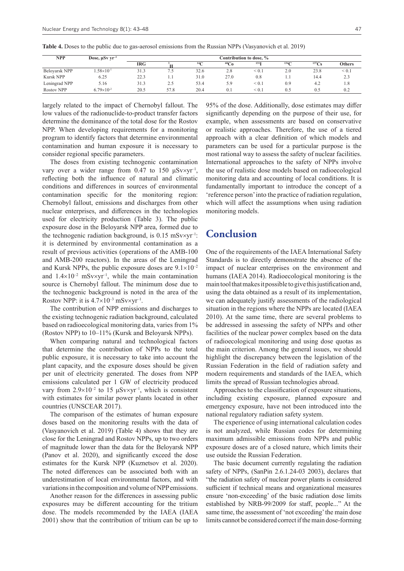|  |  | <b>Table 4.</b> Doses to the public due to gas-aerosol emissions from the Russian NPPs (Vasyanovich et al. 2019) |
|--|--|------------------------------------------------------------------------------------------------------------------|
|  |  |                                                                                                                  |

| <b>NPP</b>       | Dose, $\mu Sv$ yr <sup>-1</sup> | Contribution to dose, % |      |                 |           |            |                  |       |               |
|------------------|---------------------------------|-------------------------|------|-----------------|-----------|------------|------------------|-------|---------------|
|                  |                                 | IRG                     |      | 14 <sup>°</sup> | $^{60}Co$ | 1311       | 134 <sup>°</sup> | 137Cs | <b>Others</b> |
| Beloyarsk NPP    | $.58\times10^{-1}$              | 31.3                    | 7.5  | 32.6            | 2.8       | < 0.1      | 2.0              | 23.8  | < 0.1         |
| <b>Kursk NPP</b> | 6.25                            | 22.3                    | 1.1  | 31.0            | 27.0      | 0.8        | 1.1              | 14.4  | 2.3           |
| Leningrad NPP    | 5.16                            | 31.3                    | 2.5  | 53.4            | 5.9       | ${}_{0.1}$ | 0.9              | 4.2   | 1.8           |
| Rostov NPP       | $6.79\times10^{-2}$             | 20.5                    | 57.8 | 20.4            | 0.1       | ${}_{0.1}$ | 0.5              | 0.5   | 0.2           |

largely related to the impact of Chernobyl fallout. The low values of the radionuclide-to-product transfer factors determine the dominance of the total dose for the Rostov NPP. When developing requirements for a monitoring program to identify factors that determine environmental contamination and human exposure it is necessary to consider regional specific parameters.

The doses from existing technogenic contamination vary over a wider range from 0.47 to 150  $\mu$ Sv×yr<sup>-1</sup>, reflecting both the influence of natural and climatic conditions and differences in sources of environmental contamination specific for the monitoring region: Chernobyl fallout, emissions and discharges from other nuclear enterprises, and differences in the technologies used for electricity production (Table 3). The public exposure dose in the Beloyarsk NPP area, formed due to the technogenic radiation background, is  $0.15 \text{ mSv} \times \text{yr}^{-1}$ : it is determined by environmental contamination as a result of previous activities (operations of the AMB-100 and AMB-200 reactors). In the areas of the Leningrad and Kursk NPPs, the public exposure doses are  $9.1 \times 10^{-2}$ and  $1.4\times10^{-2}$  mSv $\times$ vr<sup>-1</sup>, while the main contamination source is Chernobyl fallout. The minimum dose due to the technogenic background is noted in the area of the Rostov NPP: it is  $4.7\times10^{-3}$  mSv $\times$ yr<sup>-1</sup>.

The contribution of NPP emissions and discharges to the existing technogenic radiation background, calculated based on radioecological monitoring data, varies from 1% (Rostov NPP) to 10–11% (Kursk and Beloyarsk NPPs).

When comparing natural and technological factors that determine the contribution of NPPs to the total public exposure, it is necessary to take into account the plant capacity, and the exposure doses should be given per unit of electricity generated. The doses from NPP emissions calculated per 1 GW of electricity produced vary from  $2.9 \times 10^{-2}$  to 15  $\mu$ Sv $\times$ yr<sup>-1</sup>, which is consistent with estimates for similar power plants located in other countries (UNSCEAR 2017).

The comparison of the estimates of human exposure doses based on the monitoring results with the data of (Vasyanovich et al. 2019) (Table 4) shows that they are close for the Leningrad and Rostov NPPs, up to two orders of magnitude lower than the data for the Beloyarsk NPP (Panov et al. 2020), and significantly exceed the dose estimates for the Kursk NPP (Kuznetsov et al. 2020). The noted differences can be associated both with an underestimation of local environmental factors, and with variations in the composition and volume of NPP emissions.

Another reason for the differences in assessing public exposures may be different accounting for the tritium dose. The models recommended by the IAEA (IAEA 2001) show that the contribution of tritium can be up to

95% of the dose. Additionally, dose estimates may differ significantly depending on the purpose of their use, for example, when assessments are based on conservative or realistic approaches. Therefore, the use of a tiered approach with a clear definition of which models and parameters can be used for a particular purpose is the most rational way to assess the safety of nuclear facilities. International approaches to the safety of NPPs involve the use of realistic dose models based on radioecological monitoring data and accounting of local conditions. It is fundamentally important to introduce the concept of a 'reference person' into the practice of radiation regulation, which will affect the assumptions when using radiation monitoring models.

#### **Conclusion**

One of the requirements of the IAEA International Safety Standards is to directly demonstrate the absence of the impact of nuclear enterprises on the environment and humans (IAEA 2014). Radioecological monitoring is the main tool that makes it possible to give this justification and, using the data obtained as a result of its implementation, we can adequately justify assessments of the radiological situation in the regions where the NPPs are located (IAEA 2010). At the same time, there are several problems to be addressed in assessing the safety of NPPs and other facilities of the nuclear power complex based on the data of radioecological monitoring and using dose quotas as the main criterion. Among the general issues, we should highlight the discrepancy between the legislation of the Russian Federation in the field of radiation safety and modern requirements and standards of the IAEA, which limits the spread of Russian technologies abroad.

Approaches to the classification of exposure situations, including existing exposure, planned exposure and emergency exposure, have not been introduced into the national regulatory radiation safety system.

The experience of using international calculation codes is not analyzed, while Russian codes for determining maximum admissible emissions from NPPs and public exposure doses are of a closed nature, which limits their use outside the Russian Federation.

The basic document currently regulating the radiation safety of NPPs, (SanPin 2.6.1.24-03 2003), declares that "the radiation safety of nuclear power plants is considered sufficient if technical means and organizational measures ensure 'non-exceeding' of the basic radiation dose limits established by NRB-99/2009 for staff, people..." At the same time, the assessment of 'not exceeding' the main dose limits cannot be considered correct if the main dose-forming